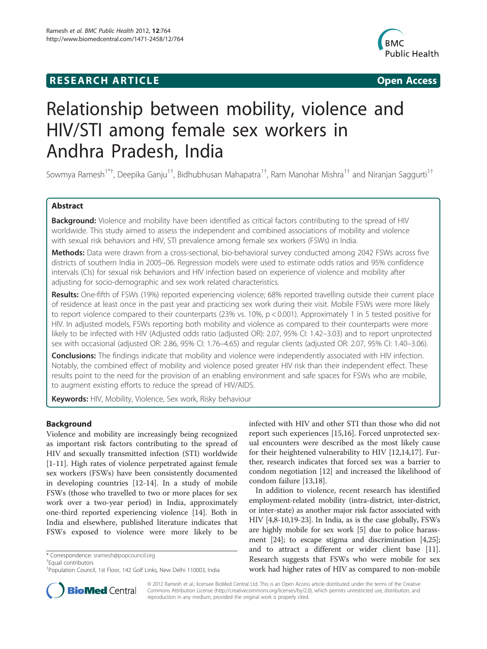# **RESEARCH ARTICLE Example 2018 12:00 Open Access**



# Relationship between mobility, violence and HIV/STI among female sex workers in Andhra Pradesh, India

Sowmya Ramesh<sup>1\*†</sup>, Deepika Ganju<sup>1†</sup>, Bidhubhusan Mahapatra<sup>1†</sup>, Ram Manohar Mishra<sup>1†</sup> and Niranjan Saggurti<sup>1†</sup>

# Abstract

Background: Violence and mobility have been identified as critical factors contributing to the spread of HIV worldwide. This study aimed to assess the independent and combined associations of mobility and violence with sexual risk behaviors and HIV, STI prevalence among female sex workers (FSWs) in India.

Methods: Data were drawn from a cross-sectional, bio-behavioral survey conducted among 2042 FSWs across five districts of southern India in 2005–06. Regression models were used to estimate odds ratios and 95% confidence intervals (CIs) for sexual risk behaviors and HIV infection based on experience of violence and mobility after adjusting for socio-demographic and sex work related characteristics.

Results: One-fifth of FSWs (19%) reported experiencing violence; 68% reported travelling outside their current place of residence at least once in the past year and practicing sex work during their visit. Mobile FSWs were more likely to report violence compared to their counterparts (23% vs. 10%, p < 0.001). Approximately 1 in 5 tested positive for HIV. In adjusted models, FSWs reporting both mobility and violence as compared to their counterparts were more likely to be infected with HIV (Adjusted odds ratio (adjusted OR): 2.07, 95% CI: 1.42–3.03) and to report unprotected sex with occasional (adjusted OR: 2.86, 95% CI: 1.76–4.65) and regular clients (adjusted OR: 2.07, 95% CI: 1.40–3.06).

**Conclusions:** The findings indicate that mobility and violence were independently associated with HIV infection. Notably, the combined effect of mobility and violence posed greater HIV risk than their independent effect. These results point to the need for the provision of an enabling environment and safe spaces for FSWs who are mobile, to augment existing efforts to reduce the spread of HIV/AIDS.

Keywords: HIV, Mobility, Violence, Sex work, Risky behaviour

# Background

Violence and mobility are increasingly being recognized as important risk factors contributing to the spread of HIV and sexually transmitted infection (STI) worldwide [[1-11](#page-6-0)]. High rates of violence perpetrated against female sex workers (FSWs) have been consistently documented in developing countries [\[12](#page-6-0)-[14\]](#page-6-0). In a study of mobile FSWs (those who travelled to two or more places for sex work over a two-year period) in India, approximately one-third reported experiencing violence [\[14](#page-6-0)]. Both in India and elsewhere, published literature indicates that FSWs exposed to violence were more likely to be



In addition to violence, recent research has identified employment-related mobility (intra-district, inter-district, or inter-state) as another major risk factor associated with HIV [\[4,8-10,19-23\]](#page-6-0). In India, as is the case globally, FSWs are highly mobile for sex work [[5\]](#page-6-0) due to police harassment [\[24\]](#page-6-0); to escape stigma and discrimination [[4,25](#page-6-0)]; and to attract a different or wider client base [[11](#page-6-0)]. Research suggests that FSWs who were mobile for sex work had higher rates of HIV as compared to non-mobile



© 2012 Ramesh et al.; licensee BioMed Central Ltd. This is an Open Access article distributed under the terms of the Creative Commons Attribution License [\(http://creativecommons.org/licenses/by/2.0\)](http://creativecommons.org/licenses/by/2.0), which permits unrestricted use, distribution, and reproduction in any medium, provided the original work is properly cited.

<sup>\*</sup> Correspondence: [sramesh@popcouncil.org](mailto:sramesh@popcouncil.org) †

Equal contributors

<sup>&</sup>lt;sup>1</sup>Population Council, 1st Floor, 142 Golf Links, New Delhi 110003, India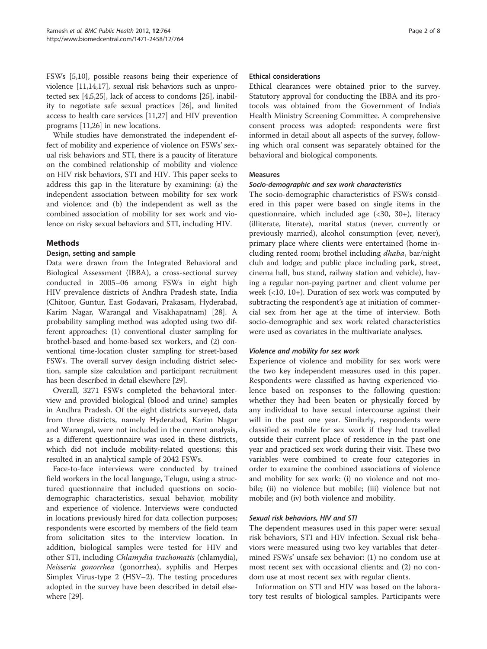FSWs [\[5,10](#page-6-0)], possible reasons being their experience of violence [\[11,14,17](#page-6-0)], sexual risk behaviors such as unprotected sex [\[4,5,25\]](#page-6-0), lack of access to condoms [\[25\]](#page-6-0), inability to negotiate safe sexual practices [\[26\]](#page-6-0), and limited access to health care services [\[11,](#page-6-0)[27](#page-7-0)] and HIV prevention programs [[11,26\]](#page-6-0) in new locations.

While studies have demonstrated the independent effect of mobility and experience of violence on FSWs' sexual risk behaviors and STI, there is a paucity of literature on the combined relationship of mobility and violence on HIV risk behaviors, STI and HIV. This paper seeks to address this gap in the literature by examining: (a) the independent association between mobility for sex work and violence; and (b) the independent as well as the combined association of mobility for sex work and violence on risky sexual behaviors and STI, including HIV.

# Methods

# Design, setting and sample

Data were drawn from the Integrated Behavioral and Biological Assessment (IBBA), a cross-sectional survey conducted in 2005–06 among FSWs in eight high HIV prevalence districts of Andhra Pradesh state, India (Chitoor, Guntur, East Godavari, Prakasam, Hyderabad, Karim Nagar, Warangal and Visakhapatnam) [\[28](#page-7-0)]. A probability sampling method was adopted using two different approaches: (1) conventional cluster sampling for brothel-based and home-based sex workers, and (2) conventional time-location cluster sampling for street-based FSWs. The overall survey design including district selection, sample size calculation and participant recruitment has been described in detail elsewhere [\[29\]](#page-7-0).

Overall, 3271 FSWs completed the behavioral interview and provided biological (blood and urine) samples in Andhra Pradesh. Of the eight districts surveyed, data from three districts, namely Hyderabad, Karim Nagar and Warangal, were not included in the current analysis, as a different questionnaire was used in these districts, which did not include mobility-related questions; this resulted in an analytical sample of 2042 FSWs.

Face-to-face interviews were conducted by trained field workers in the local language, Telugu, using a structured questionnaire that included questions on sociodemographic characteristics, sexual behavior, mobility and experience of violence. Interviews were conducted in locations previously hired for data collection purposes; respondents were escorted by members of the field team from solicitation sites to the interview location. In addition, biological samples were tested for HIV and other STI, including Chlamydia trachomatis (chlamydia), Neisseria gonorrhea (gonorrhea), syphilis and Herpes Simplex Virus-type 2 (HSV–2). The testing procedures adopted in the survey have been described in detail elsewhere [\[29](#page-7-0)].

#### Ethical considerations

Ethical clearances were obtained prior to the survey. Statutory approval for conducting the IBBA and its protocols was obtained from the Government of India's Health Ministry Screening Committee. A comprehensive consent process was adopted: respondents were first informed in detail about all aspects of the survey, following which oral consent was separately obtained for the behavioral and biological components.

# Measures

# Socio-demographic and sex work characteristics

The socio-demographic characteristics of FSWs considered in this paper were based on single items in the questionnaire, which included age  $(\leq 30, 30+)$ , literacy (illiterate, literate), marital status (never, currently or previously married), alcohol consumption (ever, never), primary place where clients were entertained (home including rented room; brothel including dhaba, bar/night club and lodge; and public place including park, street, cinema hall, bus stand, railway station and vehicle), having a regular non-paying partner and client volume per week  $(\langle 10, 10+\rangle)$ . Duration of sex work was computed by subtracting the respondent's age at initiation of commercial sex from her age at the time of interview. Both socio-demographic and sex work related characteristics were used as covariates in the multivariate analyses.

# Violence and mobility for sex work

Experience of violence and mobility for sex work were the two key independent measures used in this paper. Respondents were classified as having experienced violence based on responses to the following question: whether they had been beaten or physically forced by any individual to have sexual intercourse against their will in the past one year. Similarly, respondents were classified as mobile for sex work if they had travelled outside their current place of residence in the past one year and practiced sex work during their visit. These two variables were combined to create four categories in order to examine the combined associations of violence and mobility for sex work: (i) no violence and not mobile; (ii) no violence but mobile; (iii) violence but not mobile; and (iv) both violence and mobility.

# Sexual risk behaviors, HIV and STI

The dependent measures used in this paper were: sexual risk behaviors, STI and HIV infection. Sexual risk behaviors were measured using two key variables that determined FSWs' unsafe sex behavior: (1) no condom use at most recent sex with occasional clients; and (2) no condom use at most recent sex with regular clients.

Information on STI and HIV was based on the laboratory test results of biological samples. Participants were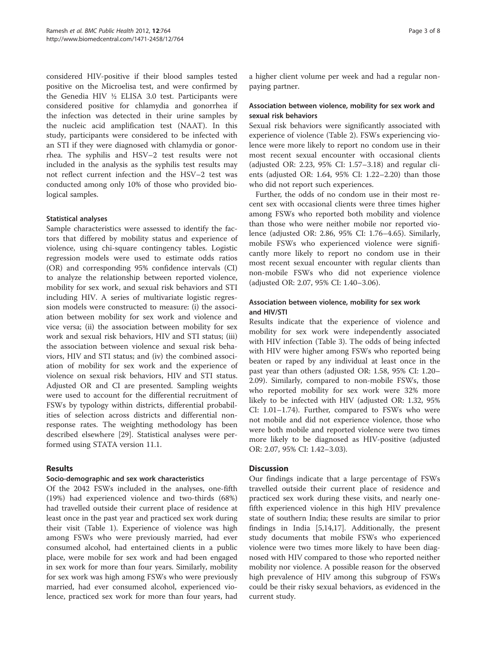considered HIV-positive if their blood samples tested positive on the Microelisa test, and were confirmed by the Genedia HIV ½ ELISA 3.0 test. Participants were considered positive for chlamydia and gonorrhea if the infection was detected in their urine samples by the nucleic acid amplification test (NAAT). In this study, participants were considered to be infected with an STI if they were diagnosed with chlamydia or gonorrhea. The syphilis and HSV–2 test results were not included in the analysis as the syphilis test results may not reflect current infection and the HSV–2 test was conducted among only 10% of those who provided biological samples.

# Statistical analyses

Sample characteristics were assessed to identify the factors that differed by mobility status and experience of violence, using chi-square contingency tables. Logistic regression models were used to estimate odds ratios (OR) and corresponding 95% confidence intervals (CI) to analyze the relationship between reported violence, mobility for sex work, and sexual risk behaviors and STI including HIV. A series of multivariate logistic regression models were constructed to measure: (i) the association between mobility for sex work and violence and vice versa; (ii) the association between mobility for sex work and sexual risk behaviors, HIV and STI status; (iii) the association between violence and sexual risk behaviors, HIV and STI status; and (iv) the combined association of mobility for sex work and the experience of violence on sexual risk behaviors, HIV and STI status. Adjusted OR and CI are presented. Sampling weights were used to account for the differential recruitment of FSWs by typology within districts, differential probabilities of selection across districts and differential nonresponse rates. The weighting methodology has been described elsewhere [[29\]](#page-7-0). Statistical analyses were performed using STATA version 11.1.

# Results

# Socio-demographic and sex work characteristics

Of the 2042 FSWs included in the analyses, one-fifth (19%) had experienced violence and two-thirds (68%) had travelled outside their current place of residence at least once in the past year and practiced sex work during their visit (Table [1](#page-3-0)). Experience of violence was high among FSWs who were previously married, had ever consumed alcohol, had entertained clients in a public place, were mobile for sex work and had been engaged in sex work for more than four years. Similarly, mobility for sex work was high among FSWs who were previously married, had ever consumed alcohol, experienced violence, practiced sex work for more than four years, had a higher client volume per week and had a regular nonpaying partner.

# Association between violence, mobility for sex work and sexual risk behaviors

Sexual risk behaviors were significantly associated with experience of violence (Table [2](#page-4-0)). FSWs experiencing violence were more likely to report no condom use in their most recent sexual encounter with occasional clients (adjusted OR: 2.23, 95% CI: 1.57–3.18) and regular clients (adjusted OR: 1.64, 95% CI: 1.22–2.20) than those who did not report such experiences.

Further, the odds of no condom use in their most recent sex with occasional clients were three times higher among FSWs who reported both mobility and violence than those who were neither mobile nor reported violence (adjusted OR: 2.86, 95% CI: 1.76–4.65). Similarly, mobile FSWs who experienced violence were significantly more likely to report no condom use in their most recent sexual encounter with regular clients than non-mobile FSWs who did not experience violence (adjusted OR: 2.07, 95% CI: 1.40–3.06).

# Association between violence, mobility for sex work and HIV/STI

Results indicate that the experience of violence and mobility for sex work were independently associated with HIV infection (Table [3](#page-5-0)). The odds of being infected with HIV were higher among FSWs who reported being beaten or raped by any individual at least once in the past year than others (adjusted OR: 1.58, 95% CI: 1.20– 2.09). Similarly, compared to non-mobile FSWs, those who reported mobility for sex work were 32% more likely to be infected with HIV (adjusted OR: 1.32, 95% CI: 1.01–1.74). Further, compared to FSWs who were not mobile and did not experience violence, those who were both mobile and reported violence were two times more likely to be diagnosed as HIV-positive (adjusted OR: 2.07, 95% CI: 1.42–3.03).

# **Discussion**

Our findings indicate that a large percentage of FSWs travelled outside their current place of residence and practiced sex work during these visits, and nearly onefifth experienced violence in this high HIV prevalence state of southern India; these results are similar to prior findings in India [\[5,14,17](#page-6-0)]. Additionally, the present study documents that mobile FSWs who experienced violence were two times more likely to have been diagnosed with HIV compared to those who reported neither mobility nor violence. A possible reason for the observed high prevalence of HIV among this subgroup of FSWs could be their risky sexual behaviors, as evidenced in the current study.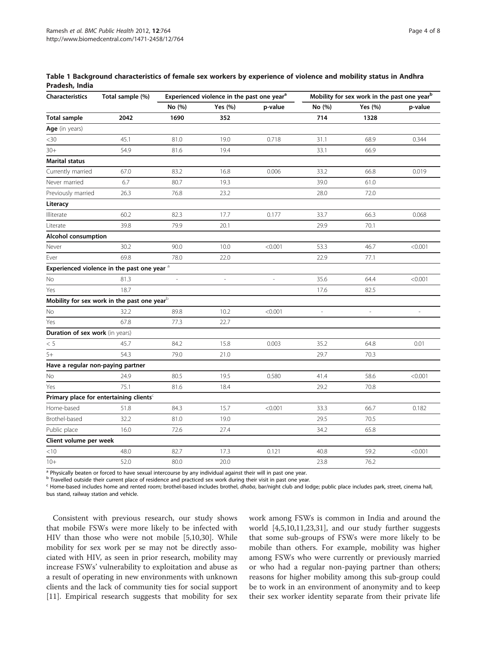| <b>Characteristics</b>                 | Total sample (%)                                      | Experienced violence in the past one year <sup>a</sup> |         |                          | Mobility for sex work in the past one year <sup>b</sup> |         |                |
|----------------------------------------|-------------------------------------------------------|--------------------------------------------------------|---------|--------------------------|---------------------------------------------------------|---------|----------------|
|                                        |                                                       | No (%)                                                 | Yes (%) | p-value                  | No (%)                                                  | Yes (%) | p-value        |
| <b>Total sample</b>                    | 2042                                                  | 1690                                                   | 352     |                          | 714                                                     | 1328    |                |
| Age (in years)                         |                                                       |                                                        |         |                          |                                                         |         |                |
| <30                                    | 45.1                                                  | 81.0                                                   | 19.0    | 0.718                    | 31.1                                                    | 68.9    | 0.344          |
| $30+$                                  | 54.9                                                  | 81.6                                                   | 19.4    |                          | 33.1                                                    | 66.9    |                |
| <b>Marital status</b>                  |                                                       |                                                        |         |                          |                                                         |         |                |
| Currently married                      | 67.0                                                  | 83.2                                                   | 16.8    | 0.006                    | 33.2                                                    | 66.8    | 0.019          |
| Never married                          | 6.7                                                   | 80.7                                                   | 19.3    | 39.0                     |                                                         | 61.0    |                |
| Previously married                     | 26.3                                                  | 76.8                                                   | 23.2    | 28.0                     |                                                         | 72.0    |                |
| Literacy                               |                                                       |                                                        |         |                          |                                                         |         |                |
| Illiterate                             | 60.2                                                  | 82.3                                                   | 17.7    | 0.177                    | 33.7                                                    | 66.3    | 0.068          |
| Literate                               | 39.8                                                  | 79.9                                                   | 20.1    |                          | 29.9                                                    | 70.1    |                |
| <b>Alcohol consumption</b>             |                                                       |                                                        |         |                          |                                                         |         |                |
| Never                                  | 30.2                                                  | 90.0                                                   | 10.0    | < 0.001                  | 53.3                                                    | 46.7    | < 0.001        |
| Ever                                   | 69.8                                                  | 78.0                                                   | 22.0    |                          | 22.9                                                    | 77.1    |                |
|                                        | Experienced violence in the past one year a           |                                                        |         |                          |                                                         |         |                |
| No                                     | 81.3                                                  | $\overline{\phantom{a}}$                               | ÷,      | $\overline{\phantom{a}}$ | 35.6                                                    | 64.4    | < 0.001        |
| Yes                                    | 18.7                                                  |                                                        |         |                          | 17.6                                                    | 82.5    |                |
|                                        | Mobility for sex work in the past one year $^{\circ}$ |                                                        |         |                          |                                                         |         |                |
| No                                     | 32.2                                                  | 89.8                                                   | 10.2    | < 0.001                  | i.                                                      | i,      | $\overline{a}$ |
| Yes                                    | 67.8                                                  | 77.3                                                   | 22.7    |                          |                                                         |         |                |
| <b>Duration of sex work</b> (in years) |                                                       |                                                        |         |                          |                                                         |         |                |
| $<\,5$                                 | 45.7                                                  | 84.2                                                   | 15.8    | 0.003                    | 35.2                                                    | 64.8    | 0.01           |
| $5+$                                   | 54.3                                                  | 79.0                                                   | 21.0    |                          | 29.7                                                    | 70.3    |                |
| Have a regular non-paying partner      |                                                       |                                                        |         |                          |                                                         |         |                |
| No                                     | 24.9                                                  | 80.5                                                   | 19.5    | 0.580                    | 41.4                                                    | 58.6    | < 0.001        |
| Yes                                    | 75.1                                                  | 81.6                                                   | 18.4    |                          | 29.2                                                    | 70.8    |                |
|                                        | Primary place for entertaining clients <sup>c</sup>   |                                                        |         |                          |                                                         |         |                |
| Home-based                             | 51.8                                                  | 84.3                                                   | 15.7    | < 0.001                  | 33.3                                                    | 66.7    | 0.182          |
| Brothel-based                          | 32.2                                                  | 81.0                                                   | 19.0    |                          | 29.5                                                    | 70.5    |                |
| Public place                           | 16.0                                                  | 72.6                                                   | 27.4    |                          | 34.2                                                    | 65.8    |                |
| Client volume per week                 |                                                       |                                                        |         |                          |                                                         |         |                |
| $<$ 10                                 | 48.0                                                  | 82.7                                                   | 17.3    | 0.121                    | 40.8                                                    | 59.2    | < 0.001        |
| $10+$                                  | 52.0                                                  | 80.0                                                   | 20.0    |                          | 23.8                                                    | 76.2    |                |

<span id="page-3-0"></span>Table 1 Background characteristics of female sex workers by experience of violence and mobility status in Andhra Pradesh, India

<sup>a</sup> Physically beaten or forced to have sexual intercourse by any individual against their will in past one year.

b Travelled outside their current place of residence and practiced sex work during their visit in past one year.

<sup>c</sup> Home-based includes home and rented room; brothel-based includes brothel, dhaba, bar/night club and lodge; public place includes park, street, cinema hall, bus stand, railway station and vehicle.

Consistent with previous research, our study shows that mobile FSWs were more likely to be infected with HIV than those who were not mobile [\[5,10](#page-6-0)[,30](#page-7-0)]. While mobility for sex work per se may not be directly associated with HIV, as seen in prior research, mobility may increase FSWs' vulnerability to exploitation and abuse as a result of operating in new environments with unknown clients and the lack of community ties for social support [[11\]](#page-6-0). Empirical research suggests that mobility for sex

work among FSWs is common in India and around the world [\[4,5,10,11,23](#page-6-0)[,31\]](#page-7-0), and our study further suggests that some sub-groups of FSWs were more likely to be mobile than others. For example, mobility was higher among FSWs who were currently or previously married or who had a regular non-paying partner than others; reasons for higher mobility among this sub-group could be to work in an environment of anonymity and to keep their sex worker identity separate from their private life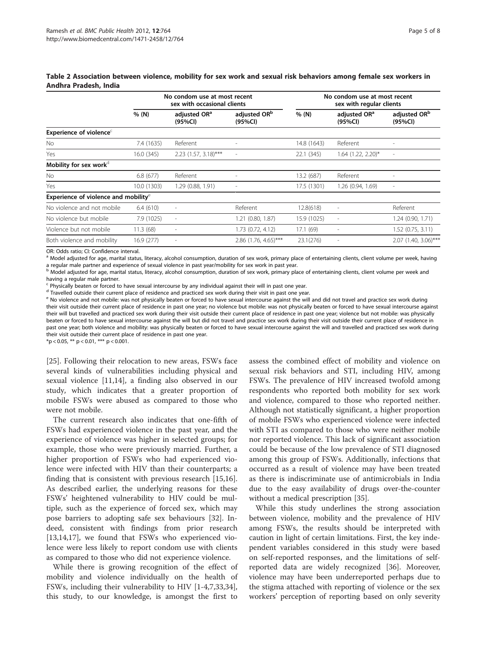|                                                  | No condom use at most recent<br>sex with occasional clients |                                     |                                     | No condom use at most recent<br>sex with regular clients |                                     |                                     |  |
|--------------------------------------------------|-------------------------------------------------------------|-------------------------------------|-------------------------------------|----------------------------------------------------------|-------------------------------------|-------------------------------------|--|
|                                                  | % (N)                                                       | adjusted OR <sup>a</sup><br>(95%CI) | adjusted OR <sup>b</sup><br>(95%CI) | % (N)                                                    | adjusted OR <sup>a</sup><br>(95%CI) | adjusted OR <sup>b</sup><br>(95%CI) |  |
| Experience of violence <sup>c</sup>              |                                                             |                                     |                                     |                                                          |                                     |                                     |  |
| <b>No</b>                                        | 7.4 (1635)                                                  | Referent                            |                                     | 14.8 (1643)                                              | Referent                            |                                     |  |
| Yes                                              | 16.0(345)                                                   | 2.23 (1.57, 3.18)***                | ٠                                   | 22.1 (345)                                               | 1.64 (1.22, 2.20)*                  | $\overline{\phantom{a}}$            |  |
| Mobility for sex work <sup>d</sup>               |                                                             |                                     |                                     |                                                          |                                     |                                     |  |
| No.                                              | 6.8(677)                                                    | Referent                            |                                     | 13.2 (687)                                               | Referent                            |                                     |  |
| Yes                                              | 10.0 (1303)                                                 | 1.29 (0.88, 1.91)                   | ٠                                   | 17.5 (1301)                                              | 1.26 (0.94, 1.69)                   | $\overline{\phantom{a}}$            |  |
| Experience of violence and mobility <sup>e</sup> |                                                             |                                     |                                     |                                                          |                                     |                                     |  |
| No violence and not mobile                       | 6.4(610)                                                    | $\overline{\phantom{a}}$            | Referent                            | 12.8(618)                                                |                                     | Referent                            |  |
| No violence but mobile                           | 7.9 (1025)                                                  | $\overline{\phantom{a}}$            | 1.21 (0.80, 1.87)                   | 15.9 (1025)                                              |                                     | 1.24 (0.90, 1.71)                   |  |
| Violence but not mobile                          | 11.3(68)                                                    | $\overline{\phantom{a}}$            | 1.73 (0.72, 4.12)                   | 17.1 (69)                                                | $\overline{\phantom{a}}$            | 1.52 (0.75, 3.11)                   |  |
| Both violence and mobility                       | 16.9 (277)                                                  | $\overline{\phantom{a}}$            | 2.86 (1.76, 4.65)***                | 23.1(276)                                                | $\overline{\phantom{a}}$            | 2.07 (1.40, 3.06)***                |  |

#### <span id="page-4-0"></span>Table 2 Association between violence, mobility for sex work and sexual risk behaviors among female sex workers in Andhra Pradesh, India

OR: Odds ratio; CI: Confidence interval.

Model adjusted for age, marital status, literacy, alcohol consumption, duration of sex work, primary place of entertaining clients, client volume per week, having

a regular male partner and experience of sexual violence in past year/mobility for sex work in past year.<br><sup>b</sup> Model adjusted for age, marital status, literacy, alcohol consumption, duration of sex work, primary place of en having a regular male partner.

FPhysically beaten or forced to have sexual intercourse by any individual against their will in past one year.

<sup>d</sup> Travelled outside their current place of residence and practiced sex work during their visit in past one year

e No violence and not mobile: was not physically beaten or forced to have sexual intercourse against the will and did not travel and practice sex work during their visit outside their current place of residence in past one year; no violence but mobile: was not physically beaten or forced to have sexual intercourse against their will but travelled and practiced sex work during their visit outside their current place of residence in past one year; violence but not mobile: was physically beaten or forced to have sexual intercourse against the will but did not travel and practice sex work during their visit outside their current place of residence in past one year; both violence and mobility: was physically beaten or forced to have sexual intercourse against the will and travelled and practiced sex work during their visit outside their current place of residence in past one year.

 $*p < 0.05$ ,  $** p < 0.01$ ,  $*** p < 0.001$ .

[[25\]](#page-6-0). Following their relocation to new areas, FSWs face several kinds of vulnerabilities including physical and sexual violence [[11,14\]](#page-6-0), a finding also observed in our study, which indicates that a greater proportion of mobile FSWs were abused as compared to those who were not mobile.

The current research also indicates that one-fifth of FSWs had experienced violence in the past year, and the experience of violence was higher in selected groups; for example, those who were previously married. Further, a higher proportion of FSWs who had experienced violence were infected with HIV than their counterparts; a finding that is consistent with previous research [\[15,16](#page-6-0)]. As described earlier, the underlying reasons for these FSWs' heightened vulnerability to HIV could be multiple, such as the experience of forced sex, which may pose barriers to adopting safe sex behaviours [[32](#page-7-0)]. Indeed, consistent with findings from prior research [[13,14,17\]](#page-6-0), we found that FSWs who experienced violence were less likely to report condom use with clients as compared to those who did not experience violence.

While there is growing recognition of the effect of mobility and violence individually on the health of FSWs, including their vulnerability to HIV [[1-4,7](#page-6-0)[,33,34](#page-7-0)], this study, to our knowledge, is amongst the first to

assess the combined effect of mobility and violence on sexual risk behaviors and STI, including HIV, among FSWs. The prevalence of HIV increased twofold among respondents who reported both mobility for sex work and violence, compared to those who reported neither. Although not statistically significant, a higher proportion of mobile FSWs who experienced violence were infected with STI as compared to those who were neither mobile nor reported violence. This lack of significant association could be because of the low prevalence of STI diagnosed among this group of FSWs. Additionally, infections that occurred as a result of violence may have been treated as there is indiscriminate use of antimicrobials in India due to the easy availability of drugs over-the-counter without a medical prescription [\[35](#page-7-0)].

While this study underlines the strong association between violence, mobility and the prevalence of HIV among FSWs, the results should be interpreted with caution in light of certain limitations. First, the key independent variables considered in this study were based on self-reported responses, and the limitations of selfreported data are widely recognized [\[36](#page-7-0)]. Moreover, violence may have been underreported perhaps due to the stigma attached with reporting of violence or the sex workers' perception of reporting based on only severity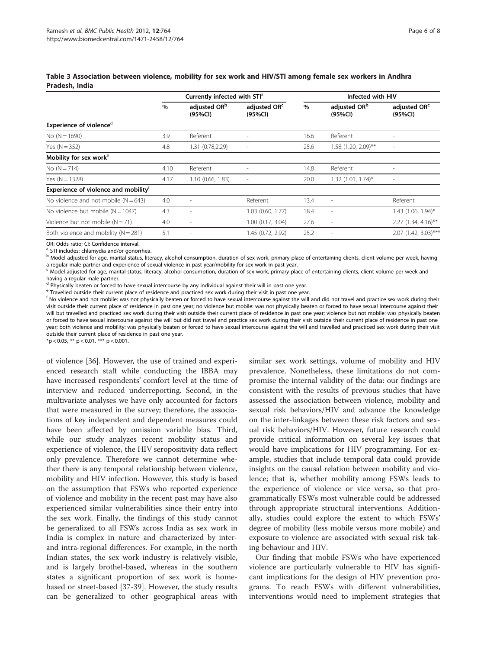|                                                  | Currently infected with STI <sup>a</sup> |                                     |                                     | Infected with HIV |                                     |                                     |
|--------------------------------------------------|------------------------------------------|-------------------------------------|-------------------------------------|-------------------|-------------------------------------|-------------------------------------|
|                                                  | $\%$                                     | adjusted OR <sup>b</sup><br>(95%CI) | adjusted OR <sup>c</sup><br>(95%CI) | $\%$              | adjusted OR <sup>b</sup><br>(95%CI) | adjusted OR <sup>c</sup><br>(95%CI) |
| Experience of violence <sup>d</sup>              |                                          |                                     |                                     |                   |                                     |                                     |
| No $(N = 1690)$                                  | 3.9                                      | Referent                            |                                     | 16.6              | Referent                            |                                     |
| Yes $(N = 352)$                                  | 4.8                                      | 1.31 (0.78,2.29)                    | ٠                                   | 25.6              | 1.58 (1.20, 2.09)**                 | $\overline{\phantom{a}}$            |
| Mobility for sex work <sup>e</sup>               |                                          |                                     |                                     |                   |                                     |                                     |
| No $(N = 714)$                                   | 4.10                                     | Referent                            | $\overline{\phantom{a}}$            | 14.8              | Referent                            | $\overline{\phantom{a}}$            |
| Yes $(N = 1328)$                                 | 4.17                                     | 1.10 (0.66, 1.83)                   | $\overline{\phantom{a}}$            | 20.0              | $1.32$ (1.01, 1.74)*                | $\overline{\phantom{a}}$            |
| Experience of violence and mobility <sup>†</sup> |                                          |                                     |                                     |                   |                                     |                                     |
| No violence and not mobile $(N = 643)$           | 4.0                                      | $\overline{a}$                      | Referent                            | 13.4              | $\overline{\phantom{0}}$            | Referent                            |
| No violence but mobile ( $N = 1047$ )            | 4.3                                      | $\overline{a}$                      | 1.03 (0.60, 1.77)                   | 18.4              | $\overline{\phantom{0}}$            | 1.43 (1.06, 1.94)*                  |
| Violence but not mobile ( $N = 71$ )             | 4.0                                      | ٠                                   | $1.00$ $(0.17, 3.04)$               | 27.6              | $\overline{\phantom{0}}$            | $2.27$ (1.34, 4.16)**               |
| Both violence and mobility $(N = 281)$           | 5.1                                      | $\overline{a}$                      | 1.45 (0.72, 2.92)                   | 25.2              | $\overline{\phantom{0}}$            | 2.07 (1.42, 3.03)***                |

<span id="page-5-0"></span>Table 3 Association between violence, mobility for sex work and HIV/STI among female sex workers in Andhra Pradesh, India

OR: Odds ratio; CI: Confidence interval.

<sup>1</sup> STI includes: chlamydia and/or gonorrhea

<sup>b</sup> Model adjusted for age, marital status, literacy, alcohol consumption, duration of sex work, primary place of entertaining clients, client volume per week, having a regular male partner and experience of sexual violence in past year/mobility for sex work in past year.

<sup>c</sup> Model adjusted for age, marital status, literacy, alcohol consumption, duration of sex work, primary place of entertaining clients, client volume per week and having a regular male partner.

<sup>d</sup> Physically beaten or forced to have sexual intercourse by any individual against their will in past one year.

e Travelled outside their current place of residence and practiced sex work during their visit in past one year.

<sup>f</sup> No violence and not mobile: was not physically beaten or forced to have sexual intercourse against the will and did not travel and practice sex work during their visit outside their current place of residence in past one year; no violence but mobile: was not physically beaten or forced to have sexual intercourse against their will but travelled and practiced sex work during their visit outside their current place of residence in past one year; violence but not mobile: was physically beaten or forced to have sexual intercourse against the will but did not travel and practice sex work during their visit outside their current place of residence in past one year; both violence and mobility: was physically beaten or forced to have sexual intercourse against the will and travelled and practiced sex work during their visit outside their current place of residence in past one year.

 $*p < 0.05$ ,  $** p < 0.01$ ,  $*** p < 0.001$ .

of violence [[36\]](#page-7-0). However, the use of trained and experienced research staff while conducting the IBBA may have increased respondents' comfort level at the time of interview and reduced underreporting. Second, in the multivariate analyses we have only accounted for factors that were measured in the survey; therefore, the associations of key independent and dependent measures could have been affected by omission variable bias. Third, while our study analyzes recent mobility status and experience of violence, the HIV seropositivity data reflect only prevalence. Therefore we cannot determine whether there is any temporal relationship between violence, mobility and HIV infection. However, this study is based on the assumption that FSWs who reported experience of violence and mobility in the recent past may have also experienced similar vulnerabilities since their entry into the sex work. Finally, the findings of this study cannot be generalized to all FSWs across India as sex work in India is complex in nature and characterized by interand intra-regional differences. For example, in the north Indian states, the sex work industry is relatively visible, and is largely brothel-based, whereas in the southern states a significant proportion of sex work is homebased or street-based [[37-39](#page-7-0)]. However, the study results can be generalized to other geographical areas with

similar sex work settings, volume of mobility and HIV prevalence. Nonetheless, these limitations do not compromise the internal validity of the data: our findings are consistent with the results of previous studies that have assessed the association between violence, mobility and sexual risk behaviors/HIV and advance the knowledge on the inter-linkages between these risk factors and sexual risk behaviors/HIV. However, future research could provide critical information on several key issues that would have implications for HIV programming. For example, studies that include temporal data could provide insights on the causal relation between mobility and violence; that is, whether mobility among FSWs leads to the experience of violence or vice versa, so that programmatically FSWs most vulnerable could be addressed through appropriate structural interventions. Additionally, studies could explore the extent to which FSWs' degree of mobility (less mobile versus more mobile) and exposure to violence are associated with sexual risk taking behaviour and HIV.

Our finding that mobile FSWs who have experienced violence are particularly vulnerable to HIV has significant implications for the design of HIV prevention programs. To reach FSWs with different vulnerabilities, interventions would need to implement strategies that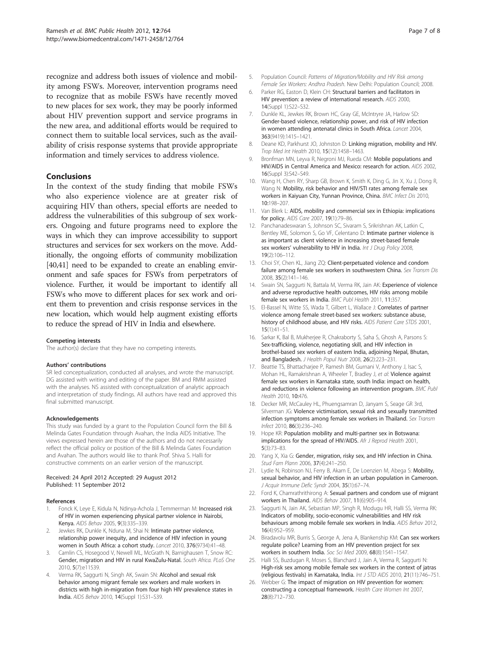<span id="page-6-0"></span>recognize and address both issues of violence and mobility among FSWs. Moreover, intervention programs need to recognize that as mobile FSWs have recently moved to new places for sex work, they may be poorly informed about HIV prevention support and service programs in the new area, and additional efforts would be required to connect them to suitable local services, such as the availability of crisis response systems that provide appropriate information and timely services to address violence.

# Conclusions

In the context of the study finding that mobile FSWs who also experience violence are at greater risk of acquiring HIV than others, special efforts are needed to address the vulnerabilities of this subgroup of sex workers. Ongoing and future programs need to explore the ways in which they can improve accessibility to support structures and services for sex workers on the move. Additionally, the ongoing efforts of community mobilization [[40,41\]](#page-7-0) need to be expanded to create an enabling environment and safe spaces for FSWs from perpetrators of violence. Further, it would be important to identify all FSWs who move to different places for sex work and orient them to prevention and crisis response services in the new location, which would help augment existing efforts to reduce the spread of HIV in India and elsewhere.

#### Competing interests

The author(s) declare that they have no competing interests.

#### Authors' contributions

SR led conceptualization, conducted all analyses, and wrote the manuscript. DG assisted with writing and editing of the paper. BM and RMM assisted with the analyses. NS assisted with conceptualization of analytic approach and interpretation of study findings. All authors have read and approved this final submitted manuscript.

#### Acknowledgements

This study was funded by a grant to the Population Council form the Bill & Melinda Gates Foundation through Avahan, the India AIDS Initiative. The views expressed herein are those of the authors and do not necessarily reflect the official policy or position of the Bill & Melinda Gates Foundation and Avahan. The authors would like to thank Prof. Shiva S. Halli for constructive comments on an earlier version of the manuscript.

#### Received: 24 April 2012 Accepted: 29 August 2012 Published: 11 September 2012

#### References

- Fonck K, Leye E, Kidula N, Ndinya-Achola J, Temmerman M: Increased risk of HIV in women experiencing physical partner violence in Nairobi, Kenya. AIDS Behav 2005, 9(3):335–339.
- 2. Jewkes RK, Dunkle K, Nduna M, Shai N: Intimate partner violence, relationship power inequity, and incidence of HIV infection in young women in South Africa: a cohort study. Lancet 2010, 376(9734):41–48.
- 3. Camlin CS, Hosegood V, Newell ML, McGrath N, Barnighausen T, Snow RC: Gender, migration and HIV in rural KwaZulu-Natal. South Africa. PLoS One 2010, 5(7):e11539.
- Verma RK, Saggurti N, Singh AK, Swain SN: Alcohol and sexual risk behavior among migrant female sex workers and male workers in districts with high in-migration from four high HIV prevalence states in India. AIDS Behav 2010, 14(Suppl 1):S31–S39.
- 5. Population Council: Patterns of Migration/Mobility and HIV Risk among Female Sex Workers: Andhra Pradesh. New Delhi: Population Council; 2008.
- 6. Parker RG, Easton D, Klein CH: Structural barriers and facilitators in HIV prevention: a review of international research. AIDS 2000, 14(Suppl 1):S22–S32.
- 7. Dunkle KL, Jewkes RK, Brown HC, Gray GE, McIntryre JA, Harlow SD: Gender-based violence, relationship power, and risk of HIV infection in women attending antenatal clinics in South Africa. Lancet 2004, 363(9419):1415–1421.
- 8. Deane KD, Parkhurst JO, Johnston D: Linking migration, mobility and HIV. Trop Med Int Health 2010, 15(12):1458–1463.
- 9. Bronfman MN, Leyva R, Negroni MJ, Rueda CM: Mobile populations and HIV/AIDS in Central America and Mexico: research for action. AIDS 2002, 16(Suppl 3):S42–S49.
- 10. Wang H, Chen RY, Sharp GB, Brown K, Smith K, Ding G, Jin X, Xu J, Dong R, Wang N: Mobility, risk behavior and HIV/STI rates among female sex workers in Kaiyuan City, Yunnan Province, China. BMC Infect Dis 2010, 10:198–207.
- 11. Van Blerk L: AIDS, mobility and commercial sex in Ethiopia: implications for policy. AIDS Care 2007, 19(1):79–86.
- 12. Panchanadeswaran S, Johnson SC, Sivaram S, Srikrishnan AK, Latkin C, Bentley ME, Solomon S, Go VF, Celentano D: Intimate partner violence is as important as client violence in increasing street-based female sex workers' vulnerability to HIV in India. Int J Drug Policy 2008, 19(2):106–112.
- 13. Choi SY, Chen KL, Jiang ZQ: Client-perpetuated violence and condom failure among female sex workers in southwestern China. Sex Transm Dis 2008, 35(2):141–146.
- 14. Swain SN, Saggurti N, Battala M, Verma RK, Jain AK: Experience of violence and adverse reproductive health outcomes, HIV risks among mobile female sex workers in India. BMC Publ Health 2011, 11:357.
- 15. El-Bassel N, Witte SS, Wada T, Gilbert L, Wallace J: Correlates of partner violence among female street-based sex workers: substance abuse, history of childhood abuse, and HIV risks. AIDS Patient Care STDS 2001, 15(1):41–51.
- 16. Sarkar K, Bal B, Mukherjee R, Chakraborty S, Saha S, Ghosh A, Parsons S: Sex-trafficking, violence, negotiating skill, and HIV infection in brothel-based sex workers of eastern India, adjoining Nepal, Bhutan, and Bangladesh. J Health Popul Nutr 2008, 26(2):223–231.
- 17. Beattie TS, Bhattacharjee P, Ramesh BM, Gurnani V, Anthony J, Isac S, Mohan HL, Ramakrishnan A, Wheeler T, Bradley J, et al: Violence against female sex workers in Karnataka state, south India: impact on health, and reductions in violence following an intervention program. BMC Publ Health 2010, 10:476.
- 18. Decker MR, McCauley HL, Phuengsamran D, Janyam S, Seage GR 3rd, Silverman JG: Violence victimisation, sexual risk and sexually transmitted infection symptoms among female sex workers in Thailand. Sex Transm Infect 2010, 86(3):236–240.
- 19. Hope KR: Population mobility and multi-partner sex in Botswana: implications for the spread of HIV/AIDS. Afr J Reprod Health 2001, 5(3):73–83.
- 20. Yang X, Xia G: Gender, migration, risky sex, and HIV infection in China. Stud Fam Plann 2006, 37(4):241–250.
- 21. Lydie N, Robinson NJ, Ferry B, Akam E, De Loenzien M, Abega S: Mobility, sexual behavior, and HIV infection in an urban population in Cameroon. J Acquir Immune Defic Syndr 2004, 35(1):67–74.
- 22. Ford K, Chamrathrithirong A: Sexual partners and condom use of migrant workers in Thailand. AIDS Behav 2007, 11(6):905–914.
- 23. Saggurti N, Jain AK, Sebastian MP, Singh R, Modugu HR, Halli SS, Verma RK: Indicators of mobility, socio-economic vulnerabilities and HIV risk behaviours among mobile female sex workers in India. AIDS Behav 2012, 16(4):952–959.
- 24. Biradavolu MR, Burris S, George A, Jena A, Blankenship KM: Can sex workers regulate police? Learning from an HIV prevention project for sex workers in southern India. Soc Sci Med 2009, 68(8):1541–1547.
- 25. Halli SS, Buzdugan R, Moses S, Blanchard J, Jain A, Verma R, Saggurti N: High-risk sex among mobile female sex workers in the context of jatras (religious festivals) in Karnataka, India. Int J STD AIDS 2010, 21(11):746–751.
- 26. Webber G: The impact of migration on HIV prevention for women: constructing a conceptual framework. Health Care Women Int 2007, 28(8):712–730.